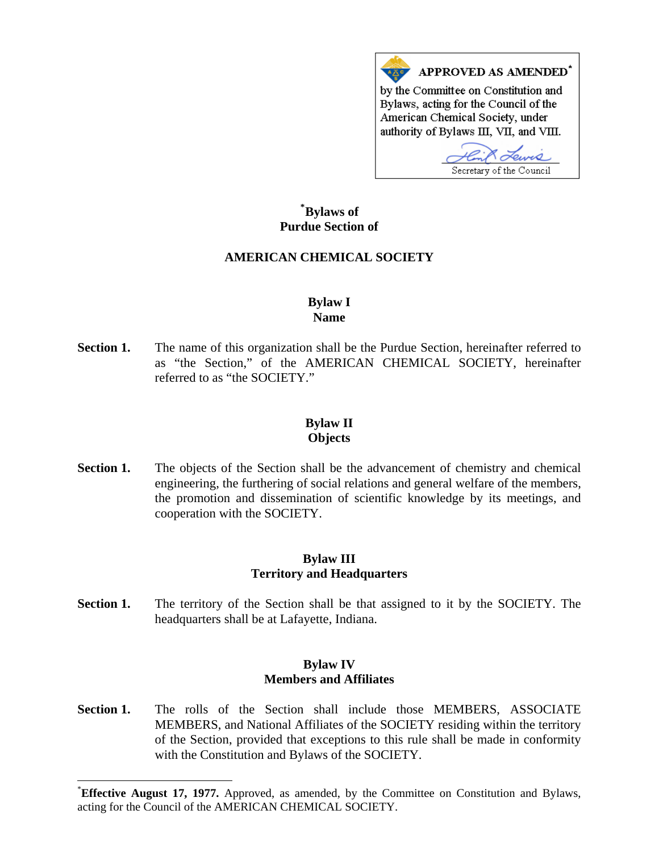

# **\* [Bylaws of](#page-0-0)  Purdue Section of**

## **AMERICAN CHEMICAL SOCIETY**

#### **Bylaw I Name**

**Section 1.** The name of this organization shall be the Purdue Section, hereinafter referred to as "the Section," of the AMERICAN CHEMICAL SOCIETY, hereinafter referred to as "the SOCIETY."

#### **Bylaw II Objects**

**Section 1.** The objects of the Section shall be the advancement of chemistry and chemical engineering, the furthering of social relations and general welfare of the members, the promotion and dissemination of scientific knowledge by its meetings, and cooperation with the SOCIETY.

### **Bylaw III Territory and Headquarters**

**Section 1.** The territory of the Section shall be that assigned to it by the SOCIETY. The headquarters shall be at Lafayette, Indiana.

#### **Bylaw IV Members and Affiliates**

Section 1. The rolls of the Section shall include those MEMBERS, ASSOCIATE MEMBERS, and National Affiliates of the SOCIETY residing within the territory of the Section, provided that exceptions to this rule shall be made in conformity with the Constitution and Bylaws of the SOCIETY.

 $\overline{\phantom{a}}$ 

<span id="page-0-0"></span><sup>\*</sup> **Effective August 17, 1977.** Approved, as amended, by the Committee on Constitution and Bylaws, acting for the Council of the AMERICAN CHEMICAL SOCIETY.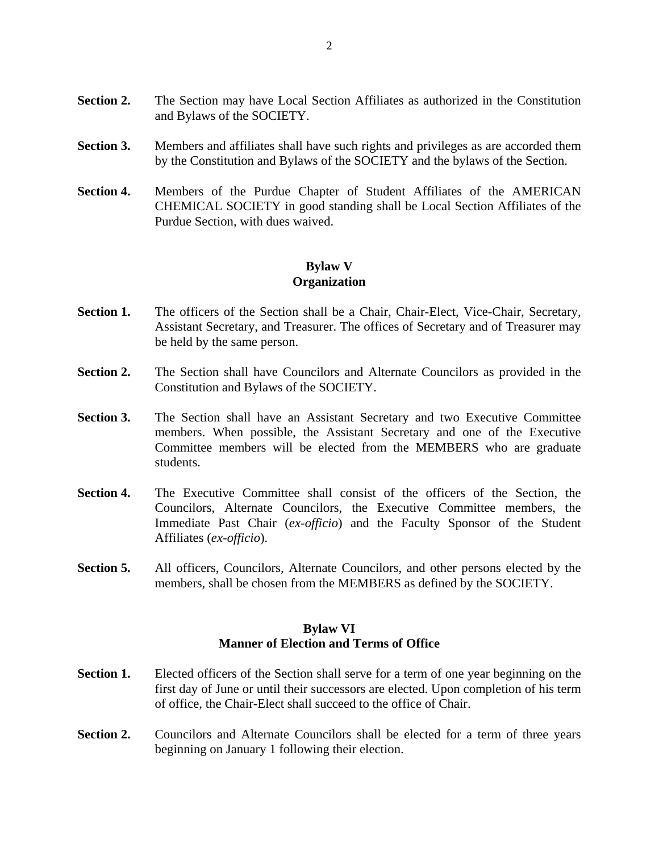- **Section 2.** The Section may have Local Section Affiliates as authorized in the Constitution and Bylaws of the SOCIETY.
- **Section 3.** Members and affiliates shall have such rights and privileges as are accorded them by the Constitution and Bylaws of the SOCIETY and the bylaws of the Section.
- **Section 4.** Members of the Purdue Chapter of Student Affiliates of the AMERICAN CHEMICAL SOCIETY in good standing shall be Local Section Affiliates of the Purdue Section, with dues waived.

### **Bylaw V Organization**

- **Section 1.** The officers of the Section shall be a Chair, Chair-Elect, Vice-Chair, Secretary, Assistant Secretary, and Treasurer. The offices of Secretary and of Treasurer may be held by the same person.
- **Section 2.** The Section shall have Councilors and Alternate Councilors as provided in the Constitution and Bylaws of the SOCIETY.
- **Section 3.** The Section shall have an Assistant Secretary and two Executive Committee members. When possible, the Assistant Secretary and one of the Executive Committee members will be elected from the MEMBERS who are graduate students.
- **Section 4.** The Executive Committee shall consist of the officers of the Section, the Councilors, Alternate Councilors, the Executive Committee members, the Immediate Past Chair (*ex-officio*) and the Faculty Sponsor of the Student Affiliates (*ex-officio*).
- **Section 5.** All officers, Councilors, Alternate Councilors, and other persons elected by the members, shall be chosen from the MEMBERS as defined by the SOCIETY.

### **Bylaw VI Manner of Election and Terms of Office**

- **Section 1.** Elected officers of the Section shall serve for a term of one year beginning on the first day of June or until their successors are elected. Upon completion of his term of office, the Chair-Elect shall succeed to the office of Chair.
- **Section 2.** Councilors and Alternate Councilors shall be elected for a term of three years beginning on January 1 following their election.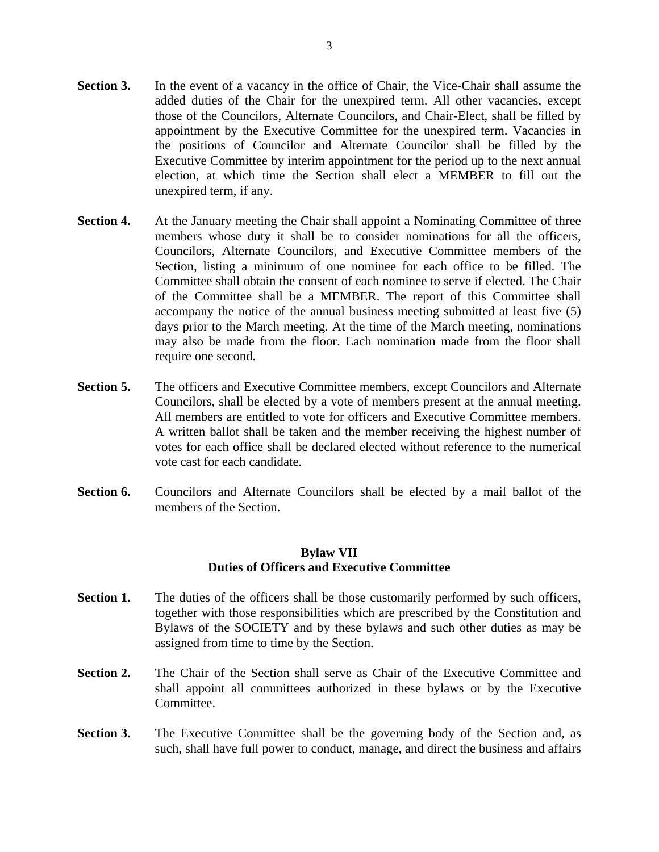- **Section 3.** In the event of a vacancy in the office of Chair, the Vice-Chair shall assume the added duties of the Chair for the unexpired term. All other vacancies, except those of the Councilors, Alternate Councilors, and Chair-Elect, shall be filled by appointment by the Executive Committee for the unexpired term. Vacancies in the positions of Councilor and Alternate Councilor shall be filled by the Executive Committee by interim appointment for the period up to the next annual election, at which time the Section shall elect a MEMBER to fill out the unexpired term, if any.
- **Section 4.** At the January meeting the Chair shall appoint a Nominating Committee of three members whose duty it shall be to consider nominations for all the officers, Councilors, Alternate Councilors, and Executive Committee members of the Section, listing a minimum of one nominee for each office to be filled. The Committee shall obtain the consent of each nominee to serve if elected. The Chair of the Committee shall be a MEMBER. The report of this Committee shall accompany the notice of the annual business meeting submitted at least five (5) days prior to the March meeting. At the time of the March meeting, nominations may also be made from the floor. Each nomination made from the floor shall require one second.
- **Section 5.** The officers and Executive Committee members, except Councilors and Alternate Councilors, shall be elected by a vote of members present at the annual meeting. All members are entitled to vote for officers and Executive Committee members. A written ballot shall be taken and the member receiving the highest number of votes for each office shall be declared elected without reference to the numerical vote cast for each candidate.
- **Section 6.** Councilors and Alternate Councilors shall be elected by a mail ballot of the members of the Section.

## **Bylaw VII Duties of Officers and Executive Committee**

- **Section 1.** The duties of the officers shall be those customarily performed by such officers, together with those responsibilities which are prescribed by the Constitution and Bylaws of the SOCIETY and by these bylaws and such other duties as may be assigned from time to time by the Section.
- **Section 2.** The Chair of the Section shall serve as Chair of the Executive Committee and shall appoint all committees authorized in these bylaws or by the Executive Committee.
- **Section 3.** The Executive Committee shall be the governing body of the Section and, as such, shall have full power to conduct, manage, and direct the business and affairs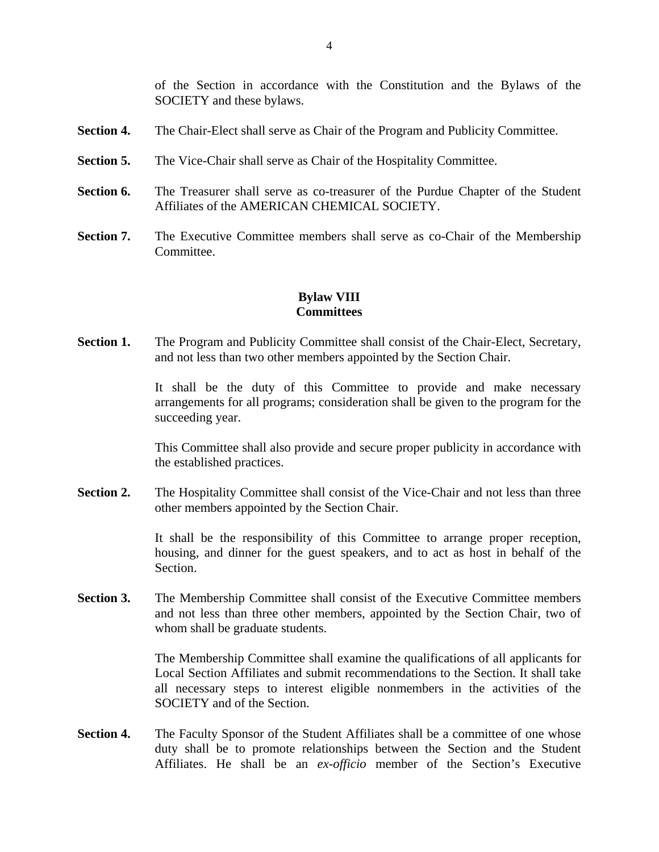of the Section in accordance with the Constitution and the Bylaws of the SOCIETY and these bylaws.

- **Section 4.** The Chair-Elect shall serve as Chair of the Program and Publicity Committee.
- **Section 5.** The Vice-Chair shall serve as Chair of the Hospitality Committee.
- **Section 6.** The Treasurer shall serve as co-treasurer of the Purdue Chapter of the Student Affiliates of the AMERICAN CHEMICAL SOCIETY.
- **Section 7.** The Executive Committee members shall serve as co-Chair of the Membership **Committee**

# **Bylaw VIII Committees**

**Section 1.** The Program and Publicity Committee shall consist of the Chair-Elect, Secretary, and not less than two other members appointed by the Section Chair.

> It shall be the duty of this Committee to provide and make necessary arrangements for all programs; consideration shall be given to the program for the succeeding year.

> This Committee shall also provide and secure proper publicity in accordance with the established practices.

Section 2. The Hospitality Committee shall consist of the Vice-Chair and not less than three other members appointed by the Section Chair.

> It shall be the responsibility of this Committee to arrange proper reception, housing, and dinner for the guest speakers, and to act as host in behalf of the Section.

**Section 3.** The Membership Committee shall consist of the Executive Committee members and not less than three other members, appointed by the Section Chair, two of whom shall be graduate students.

> The Membership Committee shall examine the qualifications of all applicants for Local Section Affiliates and submit recommendations to the Section. It shall take all necessary steps to interest eligible nonmembers in the activities of the SOCIETY and of the Section.

**Section 4.** The Faculty Sponsor of the Student Affiliates shall be a committee of one whose duty shall be to promote relationships between the Section and the Student Affiliates. He shall be an *ex-officio* member of the Section's Executive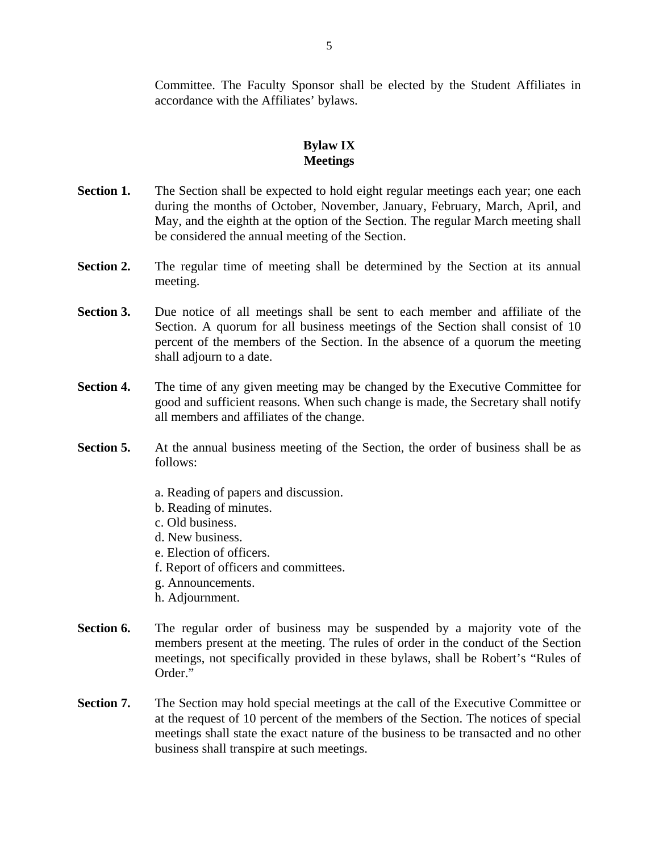Committee. The Faculty Sponsor shall be elected by the Student Affiliates in accordance with the Affiliates' bylaws.

# **Bylaw IX Meetings**

- **Section 1.** The Section shall be expected to hold eight regular meetings each year; one each during the months of October, November, January, February, March, April, and May, and the eighth at the option of the Section. The regular March meeting shall be considered the annual meeting of the Section.
- **Section 2.** The regular time of meeting shall be determined by the Section at its annual meeting.
- **Section 3.** Due notice of all meetings shall be sent to each member and affiliate of the Section. A quorum for all business meetings of the Section shall consist of 10 percent of the members of the Section. In the absence of a quorum the meeting shall adjourn to a date.
- **Section 4.** The time of any given meeting may be changed by the Executive Committee for good and sufficient reasons. When such change is made, the Secretary shall notify all members and affiliates of the change.
- **Section 5.** At the annual business meeting of the Section, the order of business shall be as follows:
	- a. Reading of papers and discussion.
	- b. Reading of minutes.
	- c. Old business.
	- d. New business.
	- e. Election of officers.
	- f. Report of officers and committees.
	- g. Announcements.
	- h. Adjournment.
- **Section 6.** The regular order of business may be suspended by a majority vote of the members present at the meeting. The rules of order in the conduct of the Section meetings, not specifically provided in these bylaws, shall be Robert's "Rules of Order."
- **Section 7.** The Section may hold special meetings at the call of the Executive Committee or at the request of 10 percent of the members of the Section. The notices of special meetings shall state the exact nature of the business to be transacted and no other business shall transpire at such meetings.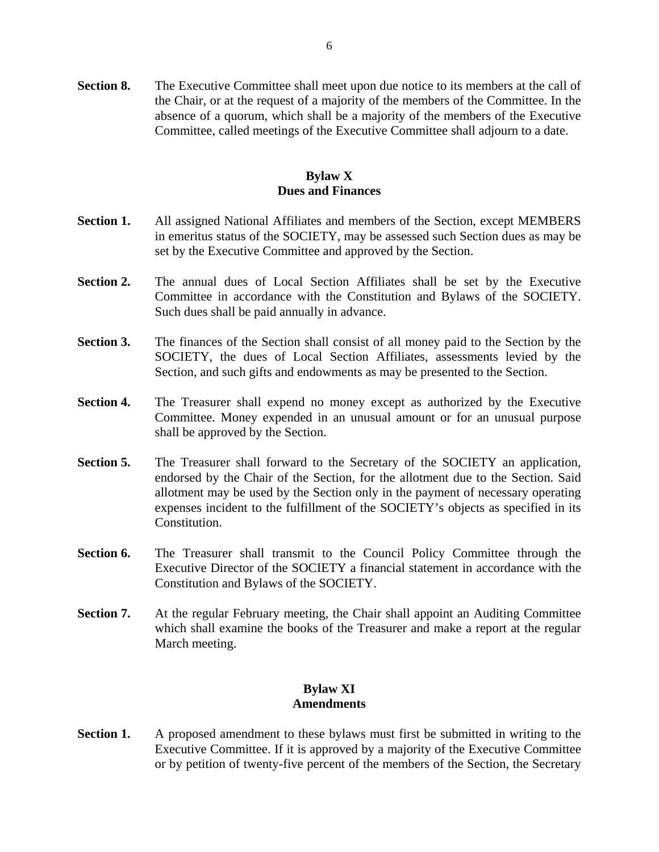**Section 8.** The Executive Committee shall meet upon due notice to its members at the call of the Chair, or at the request of a majority of the members of the Committee. In the absence of a quorum, which shall be a majority of the members of the Executive Committee, called meetings of the Executive Committee shall adjourn to a date.

## **Bylaw X Dues and Finances**

- **Section 1.** All assigned National Affiliates and members of the Section, except MEMBERS in emeritus status of the SOCIETY, may be assessed such Section dues as may be set by the Executive Committee and approved by the Section.
- **Section 2.** The annual dues of Local Section Affiliates shall be set by the Executive Committee in accordance with the Constitution and Bylaws of the SOCIETY. Such dues shall be paid annually in advance.
- **Section 3.** The finances of the Section shall consist of all money paid to the Section by the SOCIETY, the dues of Local Section Affiliates, assessments levied by the Section, and such gifts and endowments as may be presented to the Section.
- **Section 4.** The Treasurer shall expend no money except as authorized by the Executive Committee. Money expended in an unusual amount or for an unusual purpose shall be approved by the Section.
- **Section 5.** The Treasurer shall forward to the Secretary of the SOCIETY an application, endorsed by the Chair of the Section, for the allotment due to the Section. Said allotment may be used by the Section only in the payment of necessary operating expenses incident to the fulfillment of the SOCIETY's objects as specified in its Constitution.
- **Section 6.** The Treasurer shall transmit to the Council Policy Committee through the Executive Director of the SOCIETY a financial statement in accordance with the Constitution and Bylaws of the SOCIETY.
- **Section 7.** At the regular February meeting, the Chair shall appoint an Auditing Committee which shall examine the books of the Treasurer and make a report at the regular March meeting.

## **Bylaw XI Amendments**

**Section 1.** A proposed amendment to these bylaws must first be submitted in writing to the Executive Committee. If it is approved by a majority of the Executive Committee or by petition of twenty-five percent of the members of the Section, the Secretary